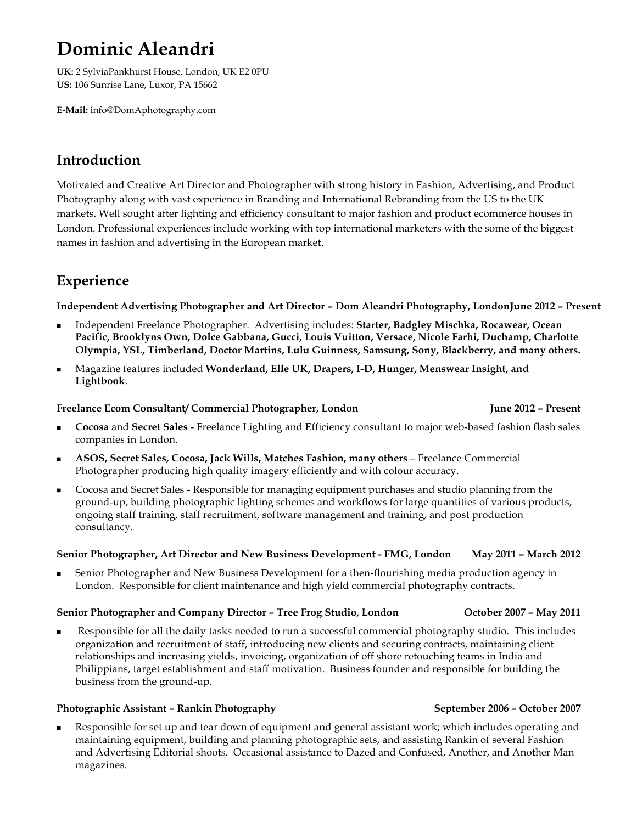# **Dominic Aleandri**

**UK:** 2 SylviaPankhurst House, London, UK E2 0PU **US:** 106 Sunrise Lane, Luxor, PA 15662

**E-Mail:** info@DomAphotography.com

## **Introduction**

Motivated and Creative Art Director and Photographer with strong history in Fashion, Advertising, and Product Photography along with vast experience in Branding and International Rebranding from the US to the UK markets. Well sought after lighting and efficiency consultant to major fashion and product ecommerce houses in London. Professional experiences include working with top international marketers with the some of the biggest names in fashion and advertising in the European market.

## **Experience**

**Independent Advertising Photographer and Art Director – Dom Aleandri Photography, LondonJune 2012 – Present**

- <sup>n</sup> Independent Freelance Photographer. Advertising includes: **Starter, Badgley Mischka, Rocawear, Ocean Pacific, Brooklyns Own, Dolce Gabbana, Gucci, Louis Vuitton, Versace, Nicole Farhi, Duchamp, Charlotte Olympia, YSL, Timberland, Doctor Martins, Lulu Guinness, Samsung, Sony, Blackberry, and many others.**
- <sup>n</sup> Magazine features included **Wonderland, Elle UK, Drapers, I-D, Hunger, Menswear Insight, and Lightbook**.

### **Freelance Ecom Consultant/ Commercial Photographer, London June 2012 – Present**

- <sup>n</sup> **Cocosa** and **Secret Sales** Freelance Lighting and Efficiency consultant to major web-based fashion flash sales companies in London.
- <sup>n</sup> **ASOS, Secret Sales, Cocosa, Jack Wills, Matches Fashion, many others** Freelance Commercial Photographer producing high quality imagery efficiently and with colour accuracy.
- <sup>n</sup> Cocosa and Secret Sales Responsible for managing equipment purchases and studio planning from the ground-up, building photographic lighting schemes and workflows for large quantities of various products, ongoing staff training, staff recruitment, software management and training, and post production consultancy.

### **Senior Photographer, Art Director and New Business Development - FMG, London May 2011 – March 2012**

<sup>n</sup> Senior Photographer and New Business Development for a then-flourishing media production agency in London. Responsible for client maintenance and high yield commercial photography contracts.

### **Senior Photographer and Company Director – Tree Frog Studio, London October 2007 – May 2011**

<sup>n</sup> Responsible for all the daily tasks needed to run a successful commercial photography studio. This includes organization and recruitment of staff, introducing new clients and securing contracts, maintaining client relationships and increasing yields, invoicing, organization of off shore retouching teams in India and Philippians, target establishment and staff motivation. Business founder and responsible for building the business from the ground-up.

### **Photographic Assistant – Rankin Photography September 2006 – October 2007**

Responsible for set up and tear down of equipment and general assistant work; which includes operating and maintaining equipment, building and planning photographic sets, and assisting Rankin of several Fashion and Advertising Editorial shoots. Occasional assistance to Dazed and Confused, Another, and Another Man magazines.